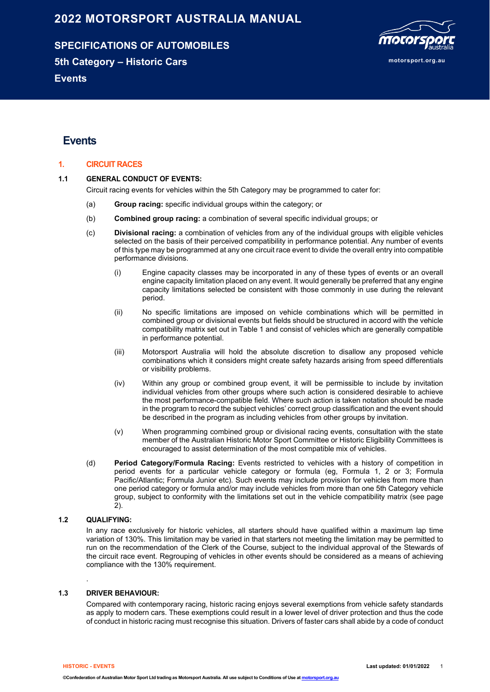# **2022 MOTORSPORT AUSTRALIA MANUAL**

**SPECIFICATIONS OF AUTOMOBILES 5th Category – Historic Cars Events**



# **Events**

### **1. CIRCUIT RACES**

#### **1.1 GENERAL CONDUCT OF EVENTS:**

Circuit racing events for vehicles within the 5th Category may be programmed to cater for:

- (a) **Group racing:** specific individual groups within the category; or
- (b) **Combined group racing:** a combination of several specific individual groups; or
- (c) **Divisional racing:** a combination of vehicles from any of the individual groups with eligible vehicles selected on the basis of their perceived compatibility in performance potential. Any number of events of this type may be programmed at any one circuit race event to divide the overall entry into compatible performance divisions.
	- (i) Engine capacity classes may be incorporated in any of these types of events or an overall engine capacity limitation placed on any event. It would generally be preferred that any engine capacity limitations selected be consistent with those commonly in use during the relevant period.
	- (ii) No specific limitations are imposed on vehicle combinations which will be permitted in combined group or divisional events but fields should be structured in accord with the vehicle compatibility matrix set out in Table 1 and consist of vehicles which are generally compatible in performance potential.
	- (iii) Motorsport Australia will hold the absolute discretion to disallow any proposed vehicle combinations which it considers might create safety hazards arising from speed differentials or visibility problems.
	- (iv) Within any group or combined group event, it will be permissible to include by invitation individual vehicles from other groups where such action is considered desirable to achieve the most performance-compatible field. Where such action is taken notation should be made in the program to record the subject vehicles' correct group classification and the event should be described in the program as including vehicles from other groups by invitation.
	- (v) When programming combined group or divisional racing events, consultation with the state member of the Australian Historic Motor Sport Committee or Historic Eligibility Committees is encouraged to assist determination of the most compatible mix of vehicles.
- (d) **Period Category/Formula Racing:** Events restricted to vehicles with a history of competition in period events for a particular vehicle category or formula (eg, Formula 1, 2 or 3; Formula Pacific/Atlantic; Formula Junior etc). Such events may include provision for vehicles from more than one period category or formula and/or may include vehicles from more than one 5th Category vehicle group, subject to conformity with the limitations set out in the vehicle compatibility matrix (see page 2).

### **1.2 QUALIFYING:**

In any race exclusively for historic vehicles, all starters should have qualified within a maximum lap time variation of 130%. This limitation may be varied in that starters not meeting the limitation may be permitted to run on the recommendation of the Clerk of the Course, subject to the individual approval of the Stewards of the circuit race event. Regrouping of vehicles in other events should be considered as a means of achieving compliance with the 130% requirement.

#### **1.3 DRIVER BEHAVIOUR:**

Compared with contemporary racing, historic racing enjoys several exemptions from vehicle safety standards as apply to modern cars. These exemptions could result in a lower level of driver protection and thus the code of conduct in historic racing must recognise this situation. Drivers of faster cars shall abide by a code of conduct

.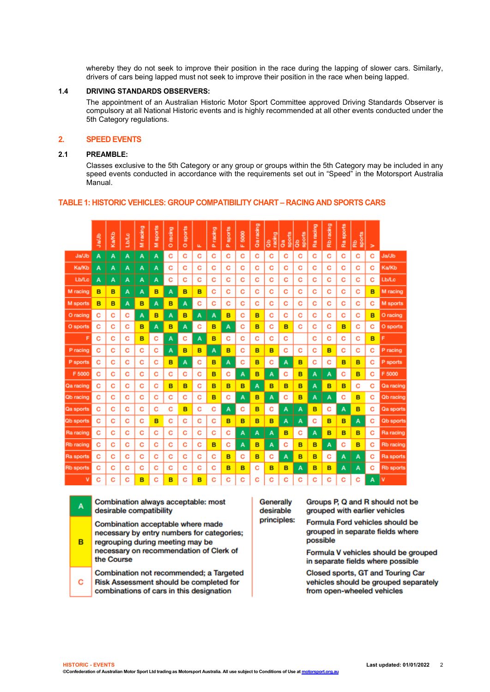whereby they do not seek to improve their position in the race during the lapping of slower cars. Similarly, drivers of cars being lapped must not seek to improve their position in the race when being lapped.

#### **1.4 DRIVING STANDARDS OBSERVERS:**

The appointment of an Australian Historic Motor Sport Committee approved Driving Standards Observer is compulsory at all National Historic events and is highly recommended at all other events conducted under the 5th Category regulations.

# **2. SPEED EVENTS**

#### **2.1 PREAMBLE:**

Classes exclusive to the 5th Category or any group or groups within the 5th Category may be included in any speed events conducted in accordance with the requirements set out in "Speed" in the Motorsport Australia Manual.

|                  | da/Jb | Ka/Kb | Lib/Lo | M racing | sports<br>ż | racing<br>$\circ$ | sports<br>$\circ$ | ш | racing<br>ä. | P sports | 5000<br>ш | Qaracing | racing<br>$\frac{a}{c}$ | Qa<br>sports | sports<br>$\frac{6}{5}$ | racing<br>Ra | Rb racing | sports<br>æ | sports<br>æ | > |                  |
|------------------|-------|-------|--------|----------|-------------|-------------------|-------------------|---|--------------|----------|-----------|----------|-------------------------|--------------|-------------------------|--------------|-----------|-------------|-------------|---|------------------|
| Ja/Jb            | А     | А     | A      | A        | А           | c                 | c                 | с | c            | c        | с         | c        | c                       | C            | с                       | c            | c         | c           | c           | C | Ja/Jb            |
| Ka/Kb            | A     | A     | A      | А        | A           | с                 | с                 | с | с            | C        | с         | c        | с                       | c            | с                       | с            | c         | с           | с           | с | Ka/Kb            |
| <b>Lb/Lc</b>     | A     | A     | А      | A        | А           | c                 | c                 | c | c            | c        | c         | c        | с                       | c            | c                       | c            | c         | c           | с           | с | <b>Lb/Lc</b>     |
| M racing         | B     | в     | А      | A        | в           | Α                 | B                 | B | с            | C        | с         | c        | с                       | c            | с                       | с            | c         | с           | с           | B | M racing         |
| M sports         | B     | в     | A      | B        | А           | в                 | А                 | c | с            | c        | c         | c        | c                       | c            | с                       | c            | с         | c           | с           | с | M sports         |
| O racing         | C     | c     | c      | A        | в           | Α                 | в                 | A | A            | B        | c         | B        | c                       | c            | c                       | c            | c         | c           | c           | B | O racing         |
| O sports         | c     | c     | с      | в        | А           | в                 | A                 | с | в            | A        | c         | B        | с                       | B            | с                       | c            | c         | в           | с           | с | O sports         |
| F                | C     | с     | c      | B        | с           | Α                 | с                 | Α | B            | с        | с         | c        | с                       | c            |                         | с            | c         | с           | c           | B | F                |
| P racing         | c     | c     | с      | c        | c           | A                 | B                 | B | A            | B        | c         | B        | в                       | c            | с                       | c            | B         | с           | с           | с | P racing         |
| P sports         | C     | c     | c      | c        | c           | в                 | Α                 | с | в            | A        | с         | B        | с                       | Α            | в                       | с            | c         | в           | B           | с | P sports         |
| F 5000           | c     | с     | c      | c        | c           | c                 | c                 | c | в            | с        | Α         | в        | А                       | c            | в                       | A            | А         | с           | B           | c | F 5000           |
| Qa racing        | C     | c     | c      | C        | c           | B                 | B                 | c | B            | B        | B         | A        | B                       | B            | в                       | A            | B         | в           | с           | с | Qa racing        |
| <b>Qb</b> racing | с     | c     | с      | c        | c           | c                 | c                 | c | в            | c        | А         | в        | A                       | c            | в                       | A            | А         | с           | B           | с | <b>Qb</b> racing |
| Qa sports        | C     | c     | c      | с        | c           | с                 | B                 | с | с            | A        | с         | B        | с                       | Α            | А                       | в            | с         | A           | B           | с | Qa sports        |
| Qb sports        | с     | с     | c      | с        | в           | c                 | с                 | с | с            | B        | в         | в        | в                       | A            | А                       | с            | в         | в           | A           | с | Qb sports        |
| Ra racing        | c     | c     | c      | C        | c           | c                 | c                 | c | c            | C        | Α         | A        | A                       | в            | с                       | А            | B         | в           | B           | c | Ra racing        |
| Rb racing        | c     | с     | c      | c        | c           | c                 | C                 | c | в            | с        | А         | в        | Α                       | c            | в                       | B            | A         | с           | B           | c | <b>Rb</b> racing |
| Ra sports        | c     | c     | c      | С        | c           | с                 | C                 | c | c            | B        | с         | B        | с                       | A            | в                       | B            | c         | A           | Α           | с | Ra sports        |
| <b>Rb</b> sports | с     | c     | c      | c        | c           | c                 | с                 | c | с            | в        | в         | C        | в                       | B            | A                       | в            | B         | A           | A           | с | <b>Rb</b> sports |
| v                | Ć     | Ć     | c      | B        | c           | B                 | c                 | B | c            | c        | Ć         | c        | Ć                       | c            | с                       | c            | Ć         | с           | с           | A | ۷                |

#### **TABLE 1: HISTORIC VEHICLES: GROUP COMPATIBILITY CHART – RACING AND SPORTS CARS**

| A | Combination always acceptable: most<br>desirable compatibility                                                                                                               | Gene<br>desin |
|---|------------------------------------------------------------------------------------------------------------------------------------------------------------------------------|---------------|
| в | Combination acceptable where made<br>necessary by entry numbers for categories;<br>regrouping during meeting may be<br>necessary on recommendation of Clerk of<br>the Course | princ         |
| c | Combination not recommended; a Targeted<br>Risk Assessment should be completed for<br>combinations of cars in this designation                                               |               |

**Frally** able iples: Groups P, Q and R should not be grouped with earlier vehicles

Formula Ford vehicles should be grouped in separate fields where possible

Formula V vehicles should be grouped in separate fields where possible

Closed sports, GT and Touring Car vehicles should be grouped separately from open-wheeled vehicles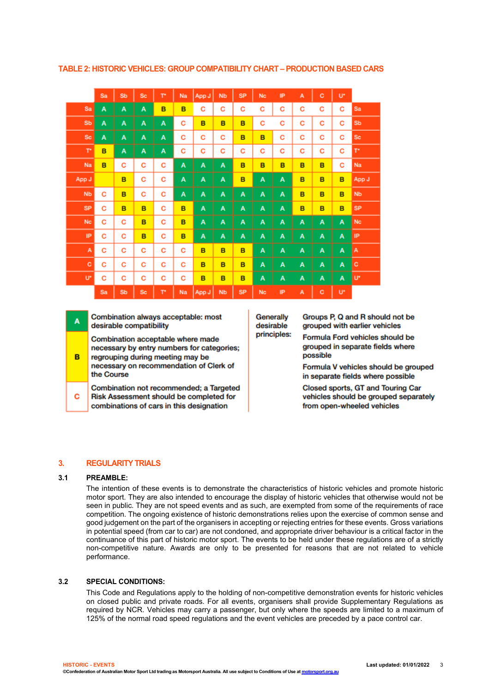|                      | Sa | Sb | <b>Sc</b> | T۲ | Na | App J | <b>Nb</b> | <b>SP</b> | <b>Nc</b> | IP | A | c | U* |           |
|----------------------|----|----|-----------|----|----|-------|-----------|-----------|-----------|----|---|---|----|-----------|
| Sa                   | A  | A  | A         | B  | B  | с     | c         | С         | c         | c  | c | с | c  | Sa        |
| Sb                   | A  | A  | А         | A  | с  | B     | B         | B         | c         | c  | c | c | c  | Sb        |
| <b>Sc</b>            | A  | A  | А         | A  | c  | C     | c         | B         | B         | C  | c | с | c  | <b>Sc</b> |
| r                    | B  | А  | A         | А  | с  | с     | С         | c         | c         | с  | c | c | c  | T۴        |
| Na                   | B  | с  | с         | c  | A  | A     | Α         | B         | B         | B  | B | B | с  | Na        |
| App J                |    | B  | с         | с  | A  | A     | A         | B         | A         | A  | B | B | в  | App J     |
| <b>N<sub>b</sub></b> | c  | B  | с         | с  | А  | A     | Α         | A         | A         | A  | B | B | B  | <b>Nb</b> |
| <b>SP</b>            | с  | в  | в         | с  | в  | A     | Α         | A         | A         | A  | B | B | в  | <b>SP</b> |
| <b>Nc</b>            | с  | c  | B         | с  | B  | A     | A         | A         | A         | Α  | A | A | A  | <b>Nc</b> |
| IP                   | С  | c  | B         | с  | B  | Α     | Α         | A         | A         | A  | A | A | А  | IP        |
| A                    | с  | c  | с         | с  | с  | B     | в         | в         | A         | A  | A | A | A  | A         |
| c                    | с  | с  | с         | с  | с  | B     | в         | B         | A         | A  | A | A | A  | с         |
| U*                   | с  | с  | с         | с  | с  | B     | в         | B         | A         | Α  | A | A | A  | n.        |
|                      | Sa | Sb | <b>Sc</b> | T۲ | Na | App J | <b>Nb</b> | <b>SP</b> | <b>Nc</b> | IP | A | c | U* |           |

**TABLE 2: HISTORIC VEHICLES: GROUP COMPATIBILITY CHART – PRODUCTION BASED CARS**

| Combination always acceptable: most<br>A<br>desirable compatibility |  |
|---------------------------------------------------------------------|--|
|---------------------------------------------------------------------|--|

Combination acceptable where made necessary by entry numbers for categories;

- B regrouping during meeting may be necessary on recommendation of Clerk of the Course
- Combination not recommended; a Targeted c Risk Assessment should be completed for combinations of cars in this designation

Generally desirable principles: Groups P, Q and R should not be grouped with earlier vehicles

Formula Ford vehicles should be grouped in separate fields where possible

Formula V vehicles should be grouped in separate fields where possible

Closed sports, GT and Touring Car vehicles should be grouped separately from open-wheeled vehicles

# **3. REGULARITY TRIALS**

#### **3.1 PREAMBLE:**

The intention of these events is to demonstrate the characteristics of historic vehicles and promote historic motor sport. They are also intended to encourage the display of historic vehicles that otherwise would not be seen in public. They are not speed events and as such, are exempted from some of the requirements of race competition. The ongoing existence of historic demonstrations relies upon the exercise of common sense and good judgement on the part of the organisers in accepting or rejecting entries for these events. Gross variations in potential speed (from car to car) are not condoned, and appropriate driver behaviour is a critical factor in the continuance of this part of historic motor sport. The events to be held under these regulations are of a strictly non-competitive nature. Awards are only to be presented for reasons that are not related to vehicle performance.

### **3.2 SPECIAL CONDITIONS:**

This Code and Regulations apply to the holding of non-competitive demonstration events for historic vehicles on closed public and private roads. For all events, organisers shall provide Supplementary Regulations as required by NCR. Vehicles may carry a passenger, but only where the speeds are limited to a maximum of 125% of the normal road speed regulations and the event vehicles are preceded by a pace control car.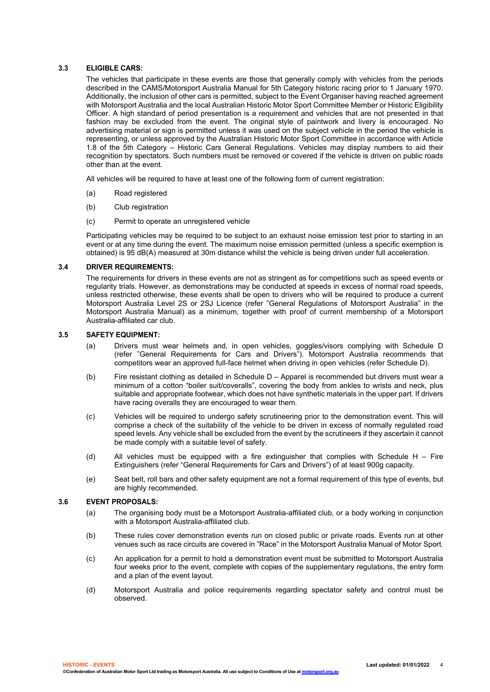# **3.3 ELIGIBLE CARS:**

The vehicles that participate in these events are those that generally comply with vehicles from the periods described in the CAMS/Motorsport Australia Manual for 5th Category historic racing prior to 1 January 1970. Additionally, the inclusion of other cars is permitted, subject to the Event Organiser having reached agreement with Motorsport Australia and the local Australian Historic Motor Sport Committee Member or Historic Eligibility Officer. A high standard of period presentation is a requirement and vehicles that are not presented in that fashion may be excluded from the event. The original style of paintwork and livery is encouraged. No advertising material or sign is permitted unless it was used on the subject vehicle in the period the vehicle is representing, or unless approved by the Australian Historic Motor Sport Committee in accordance with Article 1.8 of the 5th Category – Historic Cars General Regulations. Vehicles may display numbers to aid their recognition by spectators. Such numbers must be removed or covered if the vehicle is driven on public roads other than at the event.

All vehicles will be required to have at least one of the following form of current registration:

- (a) Road registered
- (b) Club registration
- (c) Permit to operate an unregistered vehicle

Participating vehicles may be required to be subject to an exhaust noise emission test prior to starting in an event or at any time during the event. The maximum noise emission permitted (unless a specific exemption is obtained) is 95 dB(A) measured at 30m distance whilst the vehicle is being driven under full acceleration.

#### **3.4 DRIVER REQUIREMENTS:**

The requirements for drivers in these events are not as stringent as for competitions such as speed events or regularity trials. However, as demonstrations may be conducted at speeds in excess of normal road speeds, unless restricted otherwise, these events shall be open to drivers who will be required to produce a current Motorsport Australia Level 2S or 2SJ Licence (refer "General Regulations of Motorsport Australia" in the Motorsport Australia Manual) as a minimum, together with proof of current membership of a Motorsport Australia-affiliated car club.

#### **3.5 SAFETY EQUIPMENT:**

- (a) Drivers must wear helmets and, in open vehicles, goggles/visors complying with Schedule D (refer "General Requirements for Cars and Drivers"). Motorsport Australia recommends that competitors wear an approved full-face helmet when driving in open vehicles (refer Schedule D).
- (b) Fire resistant clothing as detailed in Schedule D Apparel is recommended but drivers must wear a minimum of a cotton "boiler suit/coveralls", covering the body from ankles to wrists and neck, plus suitable and appropriate footwear, which does not have synthetic materials in the upper part. If drivers have racing overalls they are encouraged to wear them.
- (c) Vehicles will be required to undergo safety scrutineering prior to the demonstration event. This will comprise a check of the suitability of the vehicle to be driven in excess of normally regulated road speed levels. Any vehicle shall be excluded from the event by the scrutineers if they ascertain it cannot be made comply with a suitable level of safety.
- (d) All vehicles must be equipped with a fire extinguisher that complies with Schedule H Fire Extinguishers (refer "General Requirements for Cars and Drivers") of at least 900g capacity.
- (e) Seat belt, roll bars and other safety equipment are not a formal requirement of this type of events, but are highly recommended.

#### **3.6 EVENT PROPOSALS:**

- (a) The organising body must be a Motorsport Australia-affiliated club, or a body working in conjunction with a Motorsport Australia-affiliated club.
- (b) These rules cover demonstration events run on closed public or private roads. Events run at other venues such as race circuits are covered in "Race" in the Motorsport Australia Manual of Motor Sport.
- (c) An application for a permit to hold a demonstration event must be submitted to Motorsport Australia four weeks prior to the event, complete with copies of the supplementary regulations, the entry form and a plan of the event layout.
- (d) Motorsport Australia and police requirements regarding spectator safety and control must be observed.